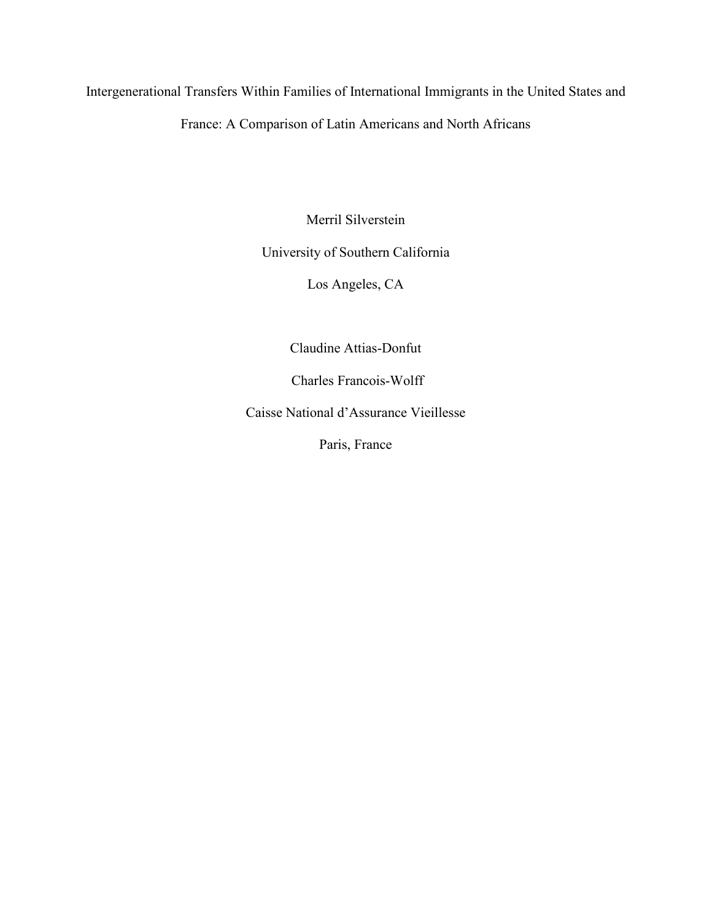Intergenerational Transfers Within Families of International Immigrants in the United States and

France: A Comparison of Latin Americans and North Africans

Merril Silverstein

## University of Southern California

Los Angeles, CA

Claudine Attias-Donfut

Charles Francois-Wolff

Caisse National d'Assurance Vieillesse

Paris, France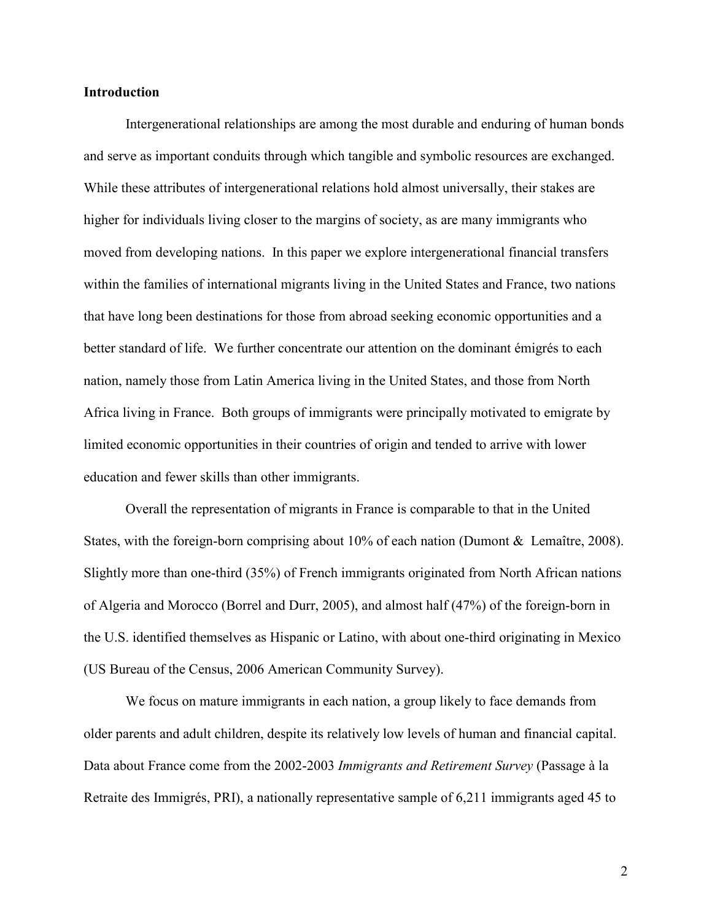## Introduction

Intergenerational relationships are among the most durable and enduring of human bonds and serve as important conduits through which tangible and symbolic resources are exchanged. While these attributes of intergenerational relations hold almost universally, their stakes are higher for individuals living closer to the margins of society, as are many immigrants who moved from developing nations. In this paper we explore intergenerational financial transfers within the families of international migrants living in the United States and France, two nations that have long been destinations for those from abroad seeking economic opportunities and a better standard of life. We further concentrate our attention on the dominant émigrés to each nation, namely those from Latin America living in the United States, and those from North Africa living in France. Both groups of immigrants were principally motivated to emigrate by limited economic opportunities in their countries of origin and tended to arrive with lower education and fewer skills than other immigrants.

Overall the representation of migrants in France is comparable to that in the United States, with the foreign-born comprising about 10% of each nation (Dumont & Lemaître, 2008). Slightly more than one-third (35%) of French immigrants originated from North African nations of Algeria and Morocco (Borrel and Durr, 2005), and almost half (47%) of the foreign-born in the U.S. identified themselves as Hispanic or Latino, with about one-third originating in Mexico (US Bureau of the Census, 2006 American Community Survey).

We focus on mature immigrants in each nation, a group likely to face demands from older parents and adult children, despite its relatively low levels of human and financial capital. Data about France come from the 2002-2003 Immigrants and Retirement Survey (Passage à la Retraite des Immigrés, PRI), a nationally representative sample of 6,211 immigrants aged 45 to